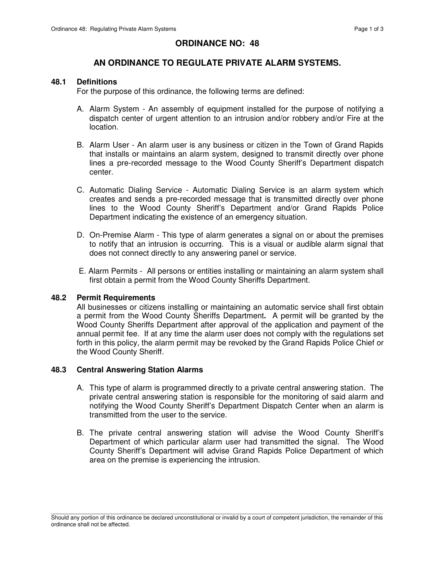## **ORDINANCE NO: 48**

# **AN ORDINANCE TO REGULATE PRIVATE ALARM SYSTEMS.**

## **48.1 Definitions**

For the purpose of this ordinance, the following terms are defined:

- A. Alarm System An assembly of equipment installed for the purpose of notifying a dispatch center of urgent attention to an intrusion and/or robbery and/or Fire at the location.
- B. Alarm User An alarm user is any business or citizen in the Town of Grand Rapids that installs or maintains an alarm system, designed to transmit directly over phone lines a pre-recorded message to the Wood County Sheriff's Department dispatch center.
- C. Automatic Dialing Service Automatic Dialing Service is an alarm system which creates and sends a pre-recorded message that is transmitted directly over phone lines to the Wood County Sheriff's Department and/or Grand Rapids Police Department indicating the existence of an emergency situation.
- D. On-Premise Alarm This type of alarm generates a signal on or about the premises to notify that an intrusion is occurring. This is a visual or audible alarm signal that does not connect directly to any answering panel or service.
- E. Alarm Permits All persons or entities installing or maintaining an alarm system shall first obtain a permit from the Wood County Sheriffs Department.

## **48.2 Permit Requirements**

All businesses or citizens installing or maintaining an automatic service shall first obtain a permit from the Wood County Sheriffs Department**.** A permit will be granted by the Wood County Sheriffs Department after approval of the application and payment of the annual permit fee. If at any time the alarm user does not comply with the regulations set forth in this policy, the alarm permit may be revoked by the Grand Rapids Police Chief or the Wood County Sheriff.

## **48.3 Central Answering Station Alarms**

- A. This type of alarm is programmed directly to a private central answering station. The private central answering station is responsible for the monitoring of said alarm and notifying the Wood County Sheriff's Department Dispatch Center when an alarm is transmitted from the user to the service.
- B. The private central answering station will advise the Wood County Sheriff's Department of which particular alarm user had transmitted the signal. The Wood County Sheriff's Department will advise Grand Rapids Police Department of which area on the premise is experiencing the intrusion.

\_\_\_\_\_\_\_\_\_\_\_\_\_\_\_\_\_\_\_\_\_\_\_\_\_\_\_\_\_\_\_\_\_\_\_\_\_\_\_\_\_\_\_\_\_\_\_\_\_\_\_\_\_\_\_\_\_\_\_\_\_\_\_\_\_\_\_\_\_\_\_\_\_\_\_\_\_\_\_\_\_\_\_\_\_\_\_\_\_\_\_\_\_\_\_\_\_\_\_\_\_\_\_\_\_ Should any portion of this ordinance be declared unconstitutional or invalid by a court of competent jurisdiction, the remainder of this ordinance shall not be affected.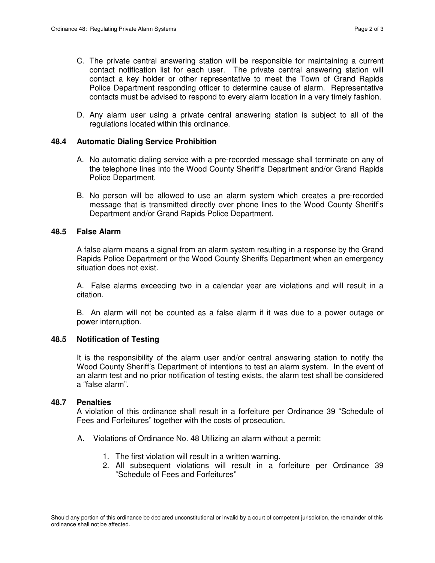- C. The private central answering station will be responsible for maintaining a current contact notification list for each user. The private central answering station will contact a key holder or other representative to meet the Town of Grand Rapids Police Department responding officer to determine cause of alarm. Representative contacts must be advised to respond to every alarm location in a very timely fashion.
- D. Any alarm user using a private central answering station is subject to all of the regulations located within this ordinance.

#### **48.4 Automatic Dialing Service Prohibition**

- A. No automatic dialing service with a pre-recorded message shall terminate on any of the telephone lines into the Wood County Sheriff's Department and/or Grand Rapids Police Department.
- B. No person will be allowed to use an alarm system which creates a pre-recorded message that is transmitted directly over phone lines to the Wood County Sheriff's Department and/or Grand Rapids Police Department.

## **48.5 False Alarm**

A false alarm means a signal from an alarm system resulting in a response by the Grand Rapids Police Department or the Wood County Sheriffs Department when an emergency situation does not exist.

A. False alarms exceeding two in a calendar year are violations and will result in a citation.

B. An alarm will not be counted as a false alarm if it was due to a power outage or power interruption.

## **48.5 Notification of Testing**

It is the responsibility of the alarm user and/or central answering station to notify the Wood County Sheriff's Department of intentions to test an alarm system. In the event of an alarm test and no prior notification of testing exists, the alarm test shall be considered a "false alarm".

#### **48.7 Penalties**

A violation of this ordinance shall result in a forfeiture per Ordinance 39 "Schedule of Fees and Forfeitures" together with the costs of prosecution.

- A. Violations of Ordinance No. 48 Utilizing an alarm without a permit:
	- 1. The first violation will result in a written warning.
	- 2. All subsequent violations will result in a forfeiture per Ordinance 39 "Schedule of Fees and Forfeitures"

\_\_\_\_\_\_\_\_\_\_\_\_\_\_\_\_\_\_\_\_\_\_\_\_\_\_\_\_\_\_\_\_\_\_\_\_\_\_\_\_\_\_\_\_\_\_\_\_\_\_\_\_\_\_\_\_\_\_\_\_\_\_\_\_\_\_\_\_\_\_\_\_\_\_\_\_\_\_\_\_\_\_\_\_\_\_\_\_\_\_\_\_\_\_\_\_\_\_\_\_\_\_\_\_\_ Should any portion of this ordinance be declared unconstitutional or invalid by a court of competent jurisdiction, the remainder of this ordinance shall not be affected.